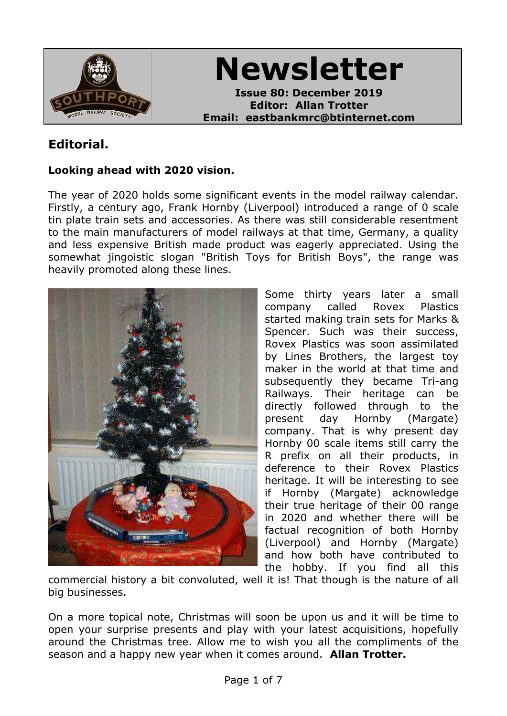

**Newsletter**

**Issue 80: December 2019 Editor: Allan Trotter Email: eastbankmrc@btinternet.com**

# **Editorial.**

#### **Looking ahead with 2020 vision.**

The year of 2020 holds some significant events in the model railway calendar. Firstly, a century ago, Frank Hornby (Liverpool) introduced a range of 0 scale tin plate train sets and accessories. As there was still considerable resentment to the main manufacturers of model railways at that time, Germany, a quality and less expensive British made product was eagerly appreciated. Using the somewhat jingoistic slogan "British Toys for British Boys", the range was heavily promoted along these lines.



Some thirty years later a small company called Rovex Plastics started making train sets for Marks & Spencer. Such was their success, Rovex Plastics was soon assimilated by Lines Brothers, the largest toy maker in the world at that time and subsequently they became Tri-ang Railways. Their heritage can be directly followed through to the present day Hornby (Margate) company. That is why present day Hornby 00 scale items still carry the R prefix on all their products, in deference to their Rovex Plastics heritage. It will be interesting to see if Hornby (Margate) acknowledge their true heritage of their 00 range in 2020 and whether there will be factual recognition of both Hornby (Liverpool) and Hornby (Margate) and how both have contributed to the hobby. If you find all this

commercial history a bit convoluted, well it is! That though is the nature of all big businesses.

On a more topical note, Christmas will soon be upon us and it will be time to open your surprise presents and play with your latest acquisitions, hopefully around the Christmas tree. Allow me to wish you all the compliments of the season and a happy new year when it comes around. **Allan Trotter.**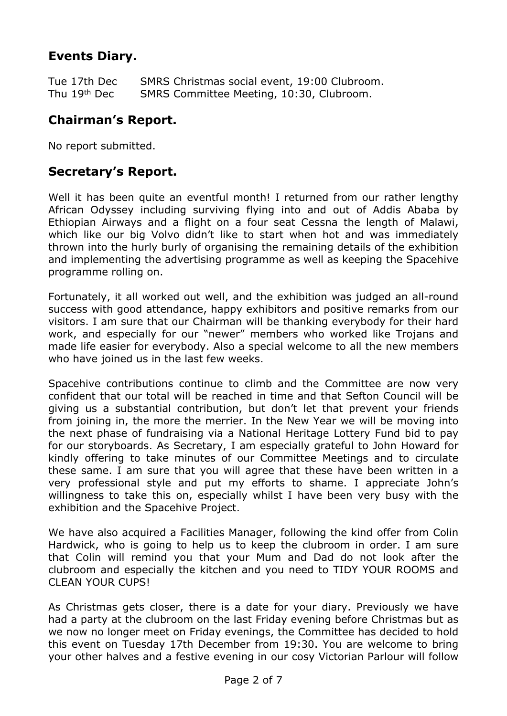## **Events Diary.**

Tue 17th Dec SMRS Christmas social event, 19:00 Clubroom. Thu 19th Dec SMRS Committee Meeting, 10:30, Clubroom.

## **Chairman's Report.**

No report submitted.

## **Secretary's Report.**

Well it has been quite an eventful month! I returned from our rather lengthy African Odyssey including surviving flying into and out of Addis Ababa by Ethiopian Airways and a flight on a four seat Cessna the length of Malawi, which like our big Volvo didn't like to start when hot and was immediately thrown into the hurly burly of organising the remaining details of the exhibition and implementing the advertising programme as well as keeping the Spacehive programme rolling on.

Fortunately, it all worked out well, and the exhibition was judged an all-round success with good attendance, happy exhibitors and positive remarks from our visitors. I am sure that our Chairman will be thanking everybody for their hard work, and especially for our "newer" members who worked like Trojans and made life easier for everybody. Also a special welcome to all the new members who have joined us in the last few weeks.

Spacehive contributions continue to climb and the Committee are now very confident that our total will be reached in time and that Sefton Council will be giving us a substantial contribution, but don't let that prevent your friends from joining in, the more the merrier. In the New Year we will be moving into the next phase of fundraising via a National Heritage Lottery Fund bid to pay for our storyboards. As Secretary, I am especially grateful to John Howard for kindly offering to take minutes of our Committee Meetings and to circulate these same. I am sure that you will agree that these have been written in a very professional style and put my efforts to shame. I appreciate John's willingness to take this on, especially whilst I have been very busy with the exhibition and the Spacehive Project.

We have also acquired a Facilities Manager, following the kind offer from Colin Hardwick, who is going to help us to keep the clubroom in order. I am sure that Colin will remind you that your Mum and Dad do not look after the clubroom and especially the kitchen and you need to TIDY YOUR ROOMS and CLEAN YOUR CUPS!

As Christmas gets closer, there is a date for your diary. Previously we have had a party at the clubroom on the last Friday evening before Christmas but as we now no longer meet on Friday evenings, the Committee has decided to hold this event on Tuesday 17th December from 19:30. You are welcome to bring your other halves and a festive evening in our cosy Victorian Parlour will follow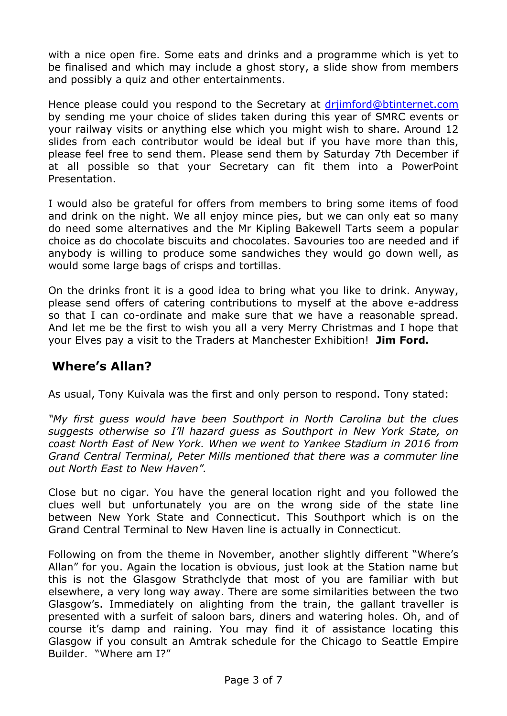with a nice open fire. Some eats and drinks and a programme which is yet to be finalised and which may include a ghost story, a slide show from members and possibly a quiz and other entertainments.

Hence please could you respond to the Secretary at [drjimford@btinternet.com](mailto:drjimford@btinternet.com) by sending me your choice of slides taken during this year of SMRC events or your railway visits or anything else which you might wish to share. Around 12 slides from each contributor would be ideal but if you have more than this, please feel free to send them. Please send them by Saturday 7th December if at all possible so that your Secretary can fit them into a PowerPoint Presentation.

I would also be grateful for offers from members to bring some items of food and drink on the night. We all enjoy mince pies, but we can only eat so many do need some alternatives and the Mr Kipling Bakewell Tarts seem a popular choice as do chocolate biscuits and chocolates. Savouries too are needed and if anybody is willing to produce some sandwiches they would go down well, as would some large bags of crisps and tortillas.

On the drinks front it is a good idea to bring what you like to drink. Anyway, please send offers of catering contributions to myself at the above e-address so that I can co-ordinate and make sure that we have a reasonable spread. And let me be the first to wish you all a very Merry Christmas and I hope that your Elves pay a visit to the Traders at Manchester Exhibition! **Jim Ford.**

## **Where's Allan?**

As usual, Tony Kuivala was the first and only person to respond. Tony stated:

*"My first guess would have been Southport in North Carolina but the clues suggests otherwise so I'll hazard guess as Southport in New York State, on coast North East of New York. When we went to Yankee Stadium in 2016 from Grand Central Terminal, Peter Mills mentioned that there was a commuter line out North East to New Haven".*

Close but no cigar. You have the general location right and you followed the clues well but unfortunately you are on the wrong side of the state line between New York State and Connecticut. This Southport which is on the Grand Central Terminal to New Haven line is actually in Connecticut.

Following on from the theme in November, another slightly different "Where's Allan" for you. Again the location is obvious, just look at the Station name but this is not the Glasgow Strathclyde that most of you are familiar with but elsewhere, a very long way away. There are some similarities between the two Glasgow's. Immediately on alighting from the train, the gallant traveller is presented with a surfeit of saloon bars, diners and watering holes. Oh, and of course it's damp and raining. You may find it of assistance locating this Glasgow if you consult an Amtrak schedule for the Chicago to Seattle Empire Builder. "Where am I?"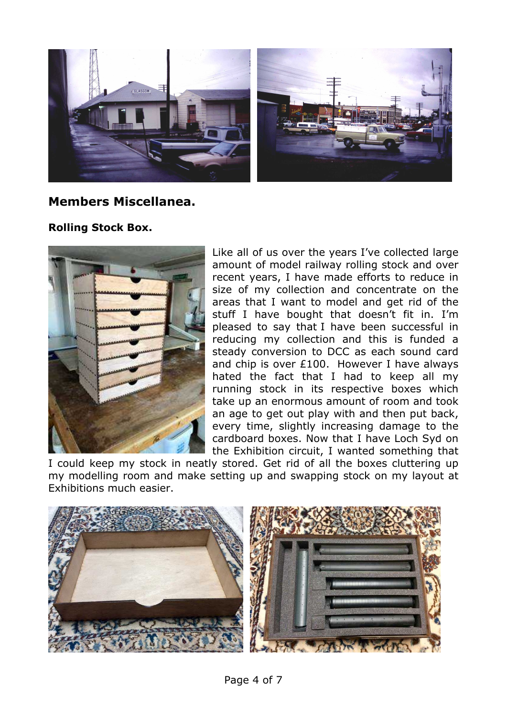

#### **Members Miscellanea.**

#### **Rolling Stock Box.**



Like all of us over the years I've collected large amount of model railway rolling stock and over recent years, I have made efforts to reduce in size of my collection and concentrate on the areas that I want to model and get rid of the stuff I have bought that doesn't fit in. I'm pleased to say that I have been successful in reducing my collection and this is funded a steady conversion to DCC as each sound card and chip is over £100. However I have always hated the fact that I had to keep all my running stock in its respective boxes which take up an enormous amount of room and took an age to get out play with and then put back, every time, slightly increasing damage to the cardboard boxes. Now that I have Loch Syd on the Exhibition circuit, I wanted something that

I could keep my stock in neatly stored. Get rid of all the boxes cluttering up my modelling room and make setting up and swapping stock on my layout at Exhibitions much easier.

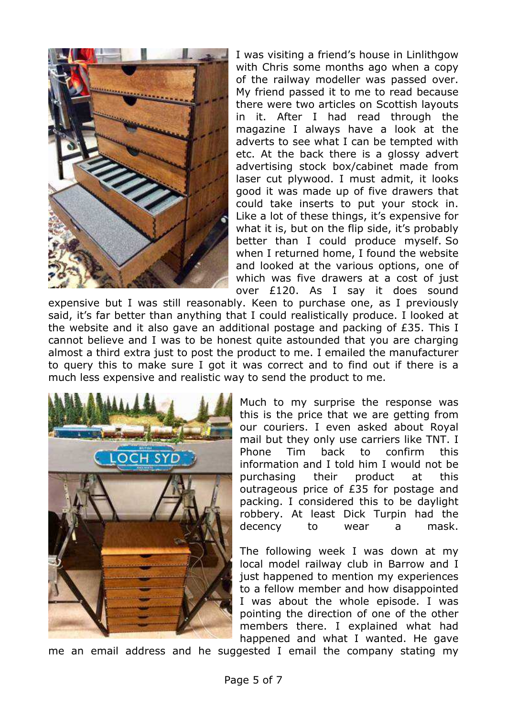

I was visiting a friend's house in Linlithgow with Chris some months ago when a copy of the railway modeller was passed over. My friend passed it to me to read because there were two articles on Scottish layouts in it. After I had read through the magazine I always have a look at the adverts to see what I can be tempted with etc. At the back there is a glossy advert advertising stock box/cabinet made from laser cut plywood. I must admit, it looks good it was made up of five drawers that could take inserts to put your stock in. Like a lot of these things, it's expensive for what it is, but on the flip side, it's probably better than I could produce myself. So when I returned home, I found the website and looked at the various options, one of which was five drawers at a cost of just over £120. As I say it does sound

expensive but I was still reasonably. Keen to purchase one, as I previously said, it's far better than anything that I could realistically produce. I looked at the website and it also gave an additional postage and packing of £35. This I cannot believe and I was to be honest quite astounded that you are charging almost a third extra just to post the product to me. I emailed the manufacturer to query this to make sure I got it was correct and to find out if there is a much less expensive and realistic way to send the product to me.



Much to my surprise the response was this is the price that we are getting from our couriers. I even asked about Royal mail but they only use carriers like TNT. I Phone Tim back to confirm this information and I told him I would not be purchasing their product at this outrageous price of £35 for postage and packing. I considered this to be daylight robbery. At least Dick Turpin had the decency to wear a mask.

The following week I was down at my local model railway club in Barrow and I just happened to mention my experiences to a fellow member and how disappointed I was about the whole episode. I was pointing the direction of one of the other members there. I explained what had happened and what I wanted. He gave

me an email address and he suggested I email the company stating my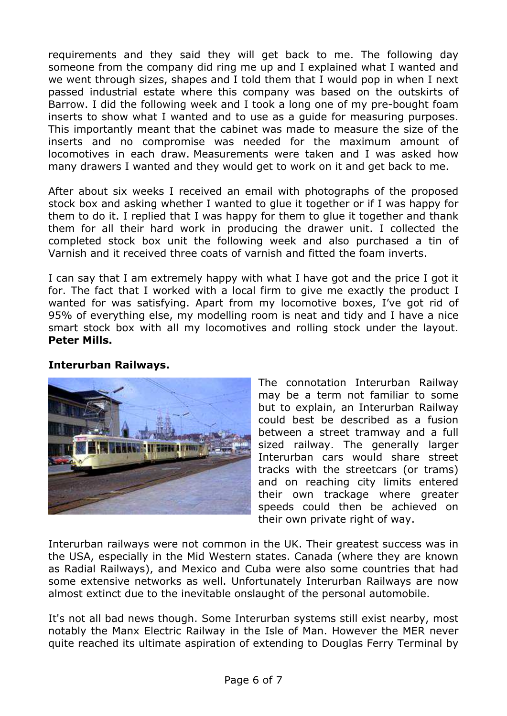requirements and they said they will get back to me. The following day someone from the company did ring me up and I explained what I wanted and we went through sizes, shapes and I told them that I would pop in when I next passed industrial estate where this company was based on the outskirts of Barrow. I did the following week and I took a long one of my pre-bought foam inserts to show what I wanted and to use as a guide for measuring purposes. This importantly meant that the cabinet was made to measure the size of the inserts and no compromise was needed for the maximum amount of locomotives in each draw. Measurements were taken and I was asked how many drawers I wanted and they would get to work on it and get back to me.

After about six weeks I received an email with photographs of the proposed stock box and asking whether I wanted to glue it together or if I was happy for them to do it. I replied that I was happy for them to glue it together and thank them for all their hard work in producing the drawer unit. I collected the completed stock box unit the following week and also purchased a tin of Varnish and it received three coats of varnish and fitted the foam inverts.

I can say that I am extremely happy with what I have got and the price I got it for. The fact that I worked with a local firm to give me exactly the product I wanted for was satisfying. Apart from my locomotive boxes, I've got rid of 95% of everything else, my modelling room is neat and tidy and I have a nice smart stock box with all my locomotives and rolling stock under the layout. **Peter Mills.**

#### **Interurban Railways.**



The connotation Interurban Railway may be a term not familiar to some but to explain, an Interurban Railway could best be described as a fusion between a street tramway and a full sized railway. The generally larger Interurban cars would share street tracks with the streetcars (or trams) and on reaching city limits entered their own trackage where greater speeds could then be achieved on their own private right of way.

Interurban railways were not common in the UK. Their greatest success was in the USA, especially in the Mid Western states. Canada (where they are known as Radial Railways), and Mexico and Cuba were also some countries that had some extensive networks as well. Unfortunately Interurban Railways are now almost extinct due to the inevitable onslaught of the personal automobile.

It's not all bad news though. Some Interurban systems still exist nearby, most notably the Manx Electric Railway in the Isle of Man. However the MER never quite reached its ultimate aspiration of extending to Douglas Ferry Terminal by